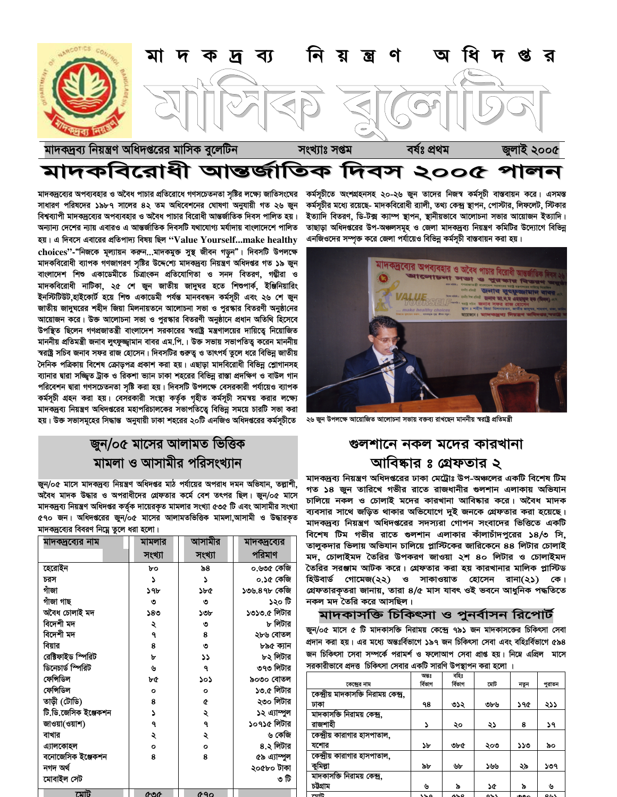

# মাদকবিরোধী আন্তর্জাতিক দিবস ২০০৫ পালন

কৰ্মসূচীতে অংশগ্ৰহনসহ ২০-২৬ জুন তাদের নিজস্ব কৰ্মসূচী বাস্তবায়ন করে। এসমস্ত কর্মসূচীর মধ্যে রয়েছে- মাদকবিরোধী র্যালী, তথ্য কেন্দ্র স্থাপন, পোস্টার, লিফলেট, স্টিকার ইত্যাদি বিতরণ, ডি-টক্স ক্যাম্প স্থাপন, স্থানীয়ভাবে আলোচনা সভার আয়োজন ইত্যাদি। তাছাড়া অধিদপ্তরের উপ-অঞ্চলসমূহ ও জেলা মাদকদ্রব্য নিয়ন্ত্রণ কমিটির উদ্যোগে বিভিন্ন এনজিওদের সম্পৃক্ত করে জেলা পর্যায়েও বিভিন্ন কর্মসূচী বাস্তবায়ন করা হয়।



২৬ জুন উপলক্ষে আয়োজিত আলোচনা সভায় বক্তব্য রাখছেন মাননীয় স্বরাষ্ট্র প্রতিমন্ত্রী

## গুলশানে নকল মদের কারখানা আবিষ্কার ঃ গ্রেফতার ২

মাদকদ্রব্য নিয়ন্ত্রণ অধিদপ্তরের ঢাকা মেট্রোঃ উপ-অঞ্চলের একটি বিশেষ টিম গত ১৪ জুন তারিখে গভীর রাতে রাজধানীর গুলশান এলাকায় অভিযান চালিয়ে নকল ও চোলাই মদের কারখানা আবিষ্কার করে। অবৈধ মাদক ব্যবসার সাথে জড়িত থাকার অভিযোগে দুই জনকে গ্রেফতার করা হয়েছে। মাদকদ্রব্য নিয়ন্ত্রণ অধিদপ্তরের সদস্যরা গোপন সংবাদের ভিত্তিতে একটি বিশেষ টিম গভীর রাতে গুলশান এলাকার কাঁলাচাঁদপরের ১৪/৩ সি. তালুকদার ভিলায় অভিযান চালিয়ে প্লাস্টিকের জারিকেনে ৪৪ লিটার চোলাই মদ, চোলাইমদ তৈরির উপকরণ জাওয়া ২শ ৪০ লিটার ও চোলাইমদ তৈরির সরঞ্জাম আটক করে। গ্রেফতার করা হয় কারখানার মালিক প্লাস্টিড হিউবার্ড গোমেজ(২২) ও সাকাওয়াত হোসেন রানা(২১) কে। গ্রেফতারকৃতরা জানায়, তারা ৪/৫ মাস যাবৎ ওই ভবনে আধুনিক পদ্ধতিতে নকল মদ তৈরি করে আসছিল।

#### মাদকাসক্তি চিকিৎসা ও পুনর্বাসন রিপোর্ট

জুন/০৫ মাসে ৫ টি মাদকাসক্তি নিরাময় কেন্দ্রে ৭৯১ জন মাদকাসজের চিকিৎসা সেবা প্রদান করা হয়। এর মধ্যে অন্তঃর্বিভাগে ১৯৭ জন চিকিৎসা সেবা এবং বহিঃর্বিভাগে ৫৯৪ জন চিকিৎসা সেবা সম্পর্কে পরামর্শ ও ফলোআপ সেবা প্রাপ্ত হয়। নিম্নে এপ্রিল মাসে সরকারীভাবে প্রদত্ত চিকিৎসা সেবার একটি সারণি উপস্থাপন করা হলো ।

|                                      | অন্তঃ   | বহিঃ     |          |      |        |  |
|--------------------------------------|---------|----------|----------|------|--------|--|
| কেন্দ্ৰের নাম                        | ৰ্বিভাগ | ৰ্বিভাগ  | মোট      | নতুন | পুরাতন |  |
| কেন্দ্রীয় মাদকাসজি নিরাময় কেন্দ্র, |         |          |          |      |        |  |
| ঢাকা                                 | ۹8      | ৩১২      | ৩৮৬      | ১৭৫  | ২১১    |  |
| মাদকাসক্তি নিরাময় কেন্দ্র,          |         |          |          |      |        |  |
| রাজশাহী                              | د       | ২০       | ২১       | 8    | ১৭     |  |
| কেন্দ্রীয় কারাগার হাসপাতাল,         |         |          |          |      |        |  |
| যশোর                                 | ১৮      | ৩৮৫      | ২০৩      | ১১৩  | ৯০     |  |
| কেন্দ্রীয় কারাগার হাসপাতাল,         |         |          |          |      |        |  |
| কুমিল্পা                             | ৯৮      | ৬৮       | ১৬৬      | ২৯   | ১৩৭    |  |
| মাদকাসক্তি নিরাময় কেন্দ্র,          |         |          |          |      |        |  |
| চউগ্ৰাম                              | ৬       | ৯        | ১৫       | ৯    | ৬      |  |
| ļ                                    | .       | $\cdots$ | $\sim$ . |      | .      |  |

মাদকদ্রব্যের অপব্যবহার ও অবৈধ পাচার প্রতিরোধে গণসচেতনতা সৃষ্টির লক্ষ্যে জাতিসংঘের সাধারণ পরিষদের ১৯৮৭ সালের ৪২ তম অধিবেশনের ঘোষণা অনুযায়ী গত ২৬ জুন বিশ্বব্যাপী মাদকদ্রব্যের অপব্যবহার ও অবৈধ পাচার বিরোধী আন্তর্জাতিক দিবস পালিত হয়। অন্যান্য দেশের ন্যায় এবারও এ আন্তর্জাতিক দিবসটি যথাযোগ্য মর্যাদায় বাংলাদেশে পালিত হয়। এ দিবসে এবারের প্রতিপাদ্য বিষয় ছিল "Value Yourself...make healthy choices"-"নিজকে মূল্যায়ন করুন...মাদকমুক্ত সুস্থ জীবন গড়ন"। দিবসটি উপলক্ষে মাদকবিরোধী ব্যাপক গণজাগরণ সষ্টির উদ্দেশ্যে মাদকদ্রব্য নিয়ন্ত্রণ অধিদপ্তর গত ১৯ জন বাংলাদেশ শিশু একাডেমীতে চিত্রাংকন প্রতিযোগিতা ও সনদ বিতরণ, গম্ভীরা ও মাদকবিরোধী নাটিকা, ২৫ শে জুন জাতীয় জাদুঘর হতে শিশুপার্ক, ইঞ্জিনিয়ারিং ইনস্টিটিউট,হাইকোর্ট হয়ে শিশু একাডেমী পর্যন্ত মানববন্ধন কর্মসূচী এবং ২৬ শে জুন জাতীয় জাদঘরের শহীদ জিয়া মিলনায়তনে আলোচনা সভা ও পুরস্কার বিতরণী অনুষ্ঠানের আয়োজন করে। উক্ত আলোচনা সভা ও পুরস্কার বিতরণী অনুষ্ঠানে প্রধান অতিথি হিসেবে উপস্থিত ছিলেন গণপ্রজাতন্ত্রী বাংলাদেশ সরকারের স্বরাষ্ট্র মন্ত্রণালয়ের দায়িত্বে নিয়োজিত মাননীয় প্রতিমন্ত্রী জনাব লুৎফুজ্জামান বাবর এম.পি.। উক্ত সভায় সভাপতিত্ব করেন মাননীয় স্বরাষ্ট্র সচিব জনাব সফর রাজ হোসেন। দিবসটির গুরুতু ও তাৎপর্য তুলে ধরে বিভিন্ন জাতীয় দৈনিক পত্রিকায় বিশেষ ক্রোড়পত্র প্রকাশ করা হয়। এছাড়া মাদবিরোধী বিভিন্ন শ্লোগানসহ ব্যানার দ্বারা সজ্জ্বিত ট্রাক ও রিকশা ভ্যান ঢাকা শহরের বিভিন্ন রাস্তা প্রদক্ষিণ ও বাউল গান পরিবেশন দ্বারা গণসচেতনতা সৃষ্টি করা হয়। দিবসটি উপলক্ষে বেসরকারী পর্যায়েও ব্যাপক কর্মসূচী গ্রহন করা হয়। বেসরকারী সংস্থা কর্তৃক গৃহীত কর্মসূচী সমন্বয় করার লক্ষ্যে মাদকদ্রব্য নিয়ন্ত্রণ অধিদপ্তরের মহাপরিচালকের সভাপতিত্বে বিভিন্ন সময়ে চারটি সভা করা হয়। উক্ত সভাসমূহের সিদ্ধান্ত অনুযায়ী ঢাকা শহরের ২০টি এনজিও অধিদপ্তরের কর্মসূচীতে

# জুন/০৫ মাসের আলামত ভিত্তিক মামলা ও আসামীর পরিসংখ্যান

জুন/০৫ মাসে মাদকদ্রব্য নিয়ন্ত্রণ অধিদপ্তর মাঠ পর্যায়ের অপরাধ দমন অভিযান, তল্লাশী, অবৈধ মাদক উদ্ধার ও অপরাধীদের গ্রেফতার কর্মে বেশ তৎপর ছিল। জুন/০৫ মাসে মাদকদ্রব্য নিয়ন্ত্রণ অধিদপ্তর কর্তৃক দায়েরকৃত মামলার সংখ্যা ৫৩৫ টি এবং আসামীর সংখ্যা ৫৭০ জন। অধিদপ্তরের জুন/০৫ মাসের আলামতভিত্তিক মামলা,আসামী ও উদ্ধারকৃত মাদকদ্রব্যের বিবরণ নিয়ে তুলে ধরা হলো।

| মাদকদ্রব্যের নাম     | মামলার  | আসামীর  | মাদক্দ্রব্যের |  |
|----------------------|---------|---------|---------------|--|
|                      | সংখ্যা  | সংখ্যা  | পরিমাণ        |  |
| হেরোইন               | bο      | ৯৪      | ০.৬৩৫ কেজি    |  |
| চরস                  | S       | S       | ০.১৫ কেজি     |  |
| গাঁজা                | ১৭৮     | ১৮৫     | ১৩৬.৪৭৮ কেজি  |  |
| গাঁজা গাছ            | ৩       | ৩       | ১২০ টি        |  |
| অবৈধ চোলাই মদ        | ১৪৩     | ১৩৮     | ১৩১৩.৫ লিটার  |  |
| বিদেশী মদ            | ২       | ৩       | ৮ লিটার       |  |
| বিদেশী মদ            | ٩       | 8       | ২৮৬ বোতল      |  |
| বিয়ার               | 8       | ৩       | ৮৯৫ ক্যান     |  |
| রেক্টিফাইড স্পিরিট   | ৮       | دد      | ৮২ লিটার      |  |
| ডিনেচার্ড স্পিরিট    | ৬       | ٩       | ৩৭৩ লিটার     |  |
| ফেন্সিডিল            | ৮৫      | ১০১     | ৯০৩০ বোতল     |  |
| ফেন্সিডিল            | $\circ$ | $\circ$ | ১৩.৫ লিটার    |  |
| তাড়ী (টোডি)         | 8       | ¢       | ২৩০ লিটার     |  |
| টি.ডি.জেসিক ইঞ্জেকশন | د       | ২       | ১২ এ্যাম্পুল  |  |
| জাওয়া(ওয়াশ)        | ٩       | ٩       | ১০৭১৫ লিটার   |  |
| বাখার                | ২       | ২       | ৬ কেজি        |  |
| এ্যালকোহল            | $\circ$ | $\circ$ | ৪.২ লিটার     |  |
| বনোজেসিক ইঞ্জেকশন    | 8       | 8       | ৫৯ এ্যাম্পুল  |  |
| নগদ অৰ্থ             |         |         | ২০৫৮০ টাকা    |  |
| মোবাইল সেট           |         |         | ৩ টি          |  |
| সামি                 | 0.96    | 690     |               |  |